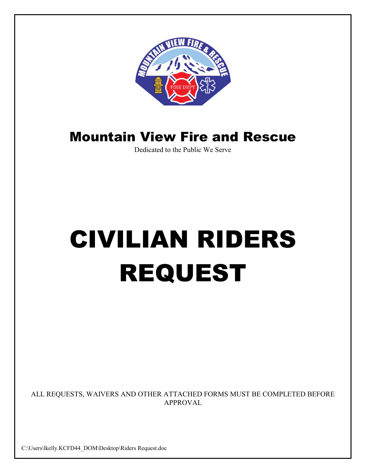

# Mountain View Fire and Rescue

Dedicated to the Public We Serve

# CIVILIAN RIDERS REQUEST

ALL REQUESTS, WAIVERS AND OTHER ATTACHED FORMS MUST BE COMPLETED BEFORE APPROVAL

C:\Users\lkelly.KCFD44\_DOM\Desktop\Riders Request.doc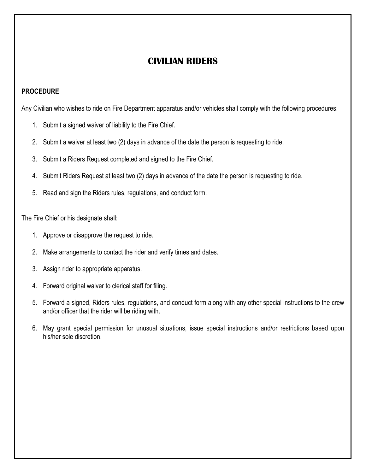# **CIVILIAN RIDERS**

#### **PROCEDURE**

Any Civilian who wishes to ride on Fire Department apparatus and/or vehicles shall comply with the following procedures:

- 1. Submit a signed waiver of liability to the Fire Chief.
- 2. Submit a waiver at least two (2) days in advance of the date the person is requesting to ride.
- 3. Submit a Riders Request completed and signed to the Fire Chief.
- 4. Submit Riders Request at least two (2) days in advance of the date the person is requesting to ride.
- 5. Read and sign the Riders rules, regulations, and conduct form.

The Fire Chief or his designate shall:

- 1. Approve or disapprove the request to ride.
- 2. Make arrangements to contact the rider and verify times and dates.
- 3. Assign rider to appropriate apparatus.
- 4. Forward original waiver to clerical staff for filing.
- 5. Forward a signed, Riders rules, regulations, and conduct form along with any other special instructions to the crew and/or officer that the rider will be riding with.
- 6. May grant special permission for unusual situations, issue special instructions and/or restrictions based upon his/her sole discretion.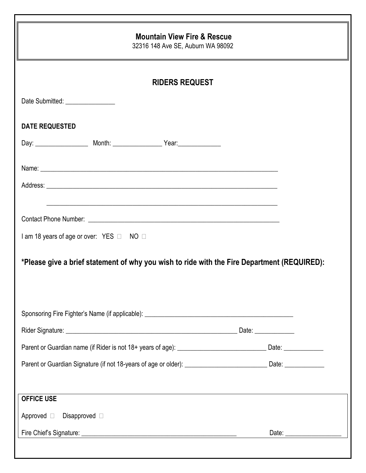| <b>Mountain View Fire &amp; Rescue</b><br>32316 148 Ave SE, Auburn WA 98092<br><b>RIDERS REQUEST</b>                 |  |  |  |  |
|----------------------------------------------------------------------------------------------------------------------|--|--|--|--|
|                                                                                                                      |  |  |  |  |
| <b>DATE REQUESTED</b>                                                                                                |  |  |  |  |
|                                                                                                                      |  |  |  |  |
|                                                                                                                      |  |  |  |  |
|                                                                                                                      |  |  |  |  |
|                                                                                                                      |  |  |  |  |
|                                                                                                                      |  |  |  |  |
|                                                                                                                      |  |  |  |  |
| I am 18 years of age or over: YES □ NO □                                                                             |  |  |  |  |
| *Please give a brief statement of why you wish to ride with the Fire Department (REQUIRED):                          |  |  |  |  |
|                                                                                                                      |  |  |  |  |
|                                                                                                                      |  |  |  |  |
|                                                                                                                      |  |  |  |  |
| Parent or Guardian name (if Rider is not 18+ years of age): ___________________________________Date: _______________ |  |  |  |  |
| Parent or Guardian Signature (if not 18-years of age or older): _________________________________Date: _____________ |  |  |  |  |
|                                                                                                                      |  |  |  |  |
| <b>OFFICE USE</b>                                                                                                    |  |  |  |  |
| Approved Disapproved D                                                                                               |  |  |  |  |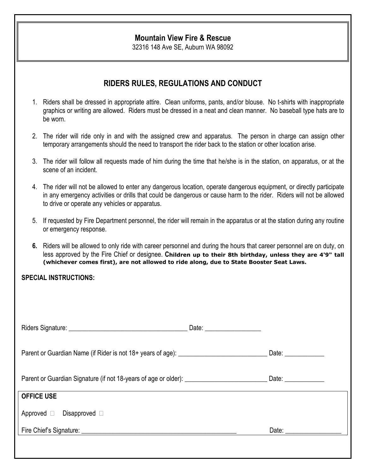#### **Mountain View Fire & Rescue**

32316 148 Ave SE, Auburn WA 98092

## **RIDERS RULES, REGULATIONS AND CONDUCT**

- 1. Riders shall be dressed in appropriate attire. Clean uniforms, pants, and/or blouse. No t-shirts with inappropriate graphics or writing are allowed. Riders must be dressed in a neat and clean manner. No baseball type hats are to be worn.
- 2. The rider will ride only in and with the assigned crew and apparatus. The person in charge can assign other temporary arrangements should the need to transport the rider back to the station or other location arise.
- 3. The rider will follow all requests made of him during the time that he/she is in the station, on apparatus, or at the scene of an incident.
- 4. The rider will not be allowed to enter any dangerous location, operate dangerous equipment, or directly participate in any emergency activities or drills that could be dangerous or cause harm to the rider. Riders will not be allowed to drive or operate any vehicles or apparatus.
- 5. If requested by Fire Department personnel, the rider will remain in the apparatus or at the station during any routine or emergency response.
- **6.** Riders will be allowed to only ride with career personnel and during the hours that career personnel are on duty, on less approved by the Fire Chief or designee. **Children up to their 8th birthday, unless they are 4'9" tall (whichever comes first), are not allowed to ride along, due to State Booster Seat Laws.**

#### **SPECIAL INSTRUCTIONS:**

| Parent or Guardian Name (if Rider is not 18+ years of age): _____________________ | Date: ____________                                                                                                                                                                                                             |
|-----------------------------------------------------------------------------------|--------------------------------------------------------------------------------------------------------------------------------------------------------------------------------------------------------------------------------|
|                                                                                   | Date: ______________                                                                                                                                                                                                           |
| <b>OFFICE USE</b>                                                                 |                                                                                                                                                                                                                                |
| Approved $\square$ Disapproved $\square$                                          |                                                                                                                                                                                                                                |
|                                                                                   | Date: the contract of the contract of the contract of the contract of the contract of the contract of the contract of the contract of the contract of the contract of the contract of the contract of the contract of the cont |
|                                                                                   |                                                                                                                                                                                                                                |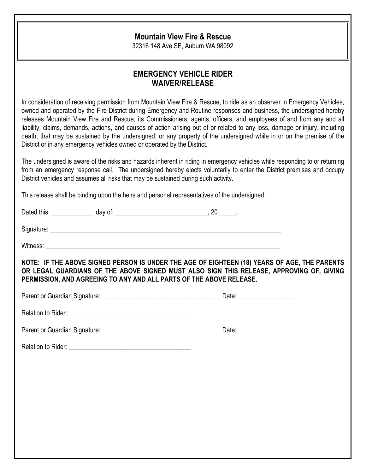## **Mountain View Fire & Rescue**

32316 148 Ave SE, Auburn WA 98092

# **EMERGENCY VEHICLE RIDER WAIVER/RELEASE**

In consideration of receiving permission from Mountain View Fire & Rescue, to ride as an observer in Emergency Vehicles, owned and operated by the Fire District during Emergency and Routine responses and business, the undersigned hereby releases Mountain View Fire and Rescue, its Commissioners, agents, officers, and employees of and from any and all liability, claims, demands, actions, and causes of action arising out of or related to any loss, damage or injury, including death, that may be sustained by the undersigned, or any property of the undersigned while in or on the premise of the District or in any emergency vehicles owned or operated by the District.

The undersigned is aware of the risks and hazards inherent in riding in emergency vehicles while responding to or returning from an emergency response call. The undersigned hereby elects voluntarily to enter the District premises and occupy District vehicles and assumes all risks that may be sustained during such activity.

This release shall be binding upon the heirs and personal representatives of the undersigned.

| NOTE: IF THE ABOVE SIGNED PERSON IS UNDER THE AGE OF EIGHTEEN (18) YEARS OF AGE, THE PARENTS<br>OR LEGAL GUARDIANS OF THE ABOVE SIGNED MUST ALSO SIGN THIS RELEASE, APPROVING OF, GIVING<br>PERMISSION, AND AGREEING TO ANY AND ALL PARTS OF THE ABOVE RELEASE. |  |
|-----------------------------------------------------------------------------------------------------------------------------------------------------------------------------------------------------------------------------------------------------------------|--|
|                                                                                                                                                                                                                                                                 |  |
|                                                                                                                                                                                                                                                                 |  |
|                                                                                                                                                                                                                                                                 |  |
|                                                                                                                                                                                                                                                                 |  |
|                                                                                                                                                                                                                                                                 |  |